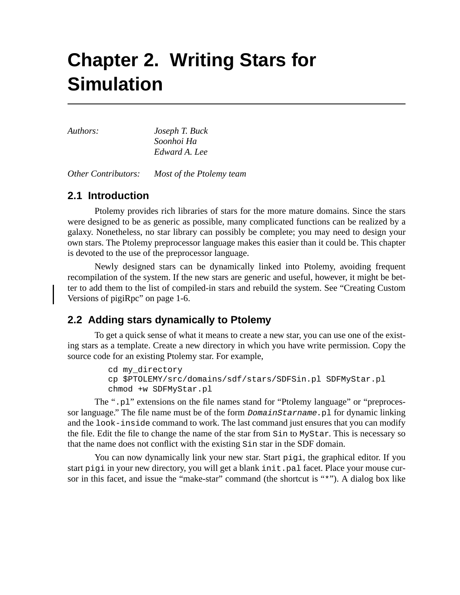# **Chapter 2. Writing Stars for Simulation**

*Authors: Joseph T. Buck Soonhoi Ha Edward A. Lee*

*Other Contributors: Most of the Ptolemy team*

# **2.1 Introduction**

Ptolemy provides rich libraries of stars for the more mature domains. Since the stars were designed to be as generic as possible, many complicated functions can be realized by a galaxy. Nonetheless, no star library can possibly be complete; you may need to design your own stars. The Ptolemy preprocessor language makes this easier than it could be. This chapter is devoted to the use of the preprocessor language.

Newly designed stars can be dynamically linked into Ptolemy, avoiding frequent recompilation of the system. If the new stars are generic and useful, however, it might be better to add them to the list of compiled-in stars and rebuild the system. See "Creating Custom Versions of pigiRpc" on page 1-6.

# **2.2 Adding stars dynamically to Ptolemy**

To get a quick sense of what it means to create a new star, you can use one of the existing stars as a template. Create a new directory in which you have write permission. Copy the source code for an existing Ptolemy star. For example,

```
cd my_directory
cp $PTOLEMY/src/domains/sdf/stars/SDFSin.pl SDFMyStar.pl
chmod +w SDFMyStar.pl
```
The ".pl" extensions on the file names stand for "Ptolemy language" or "preprocessor language." The file name must be of the form  $DomainStarname$ , pl for dynamic linking and the look-inside command to work. The last command just ensures that you can modify the file. Edit the file to change the name of the star from Sin to MyStar. This is necessary so that the name does not conflict with the existing Sin star in the SDF domain.

You can now dynamically link your new star. Start  $pi$  is the graphical editor. If you start pigi in your new directory, you will get a blank init.pal facet. Place your mouse cursor in this facet, and issue the "make-star" command (the shortcut is "\*"). A dialog box like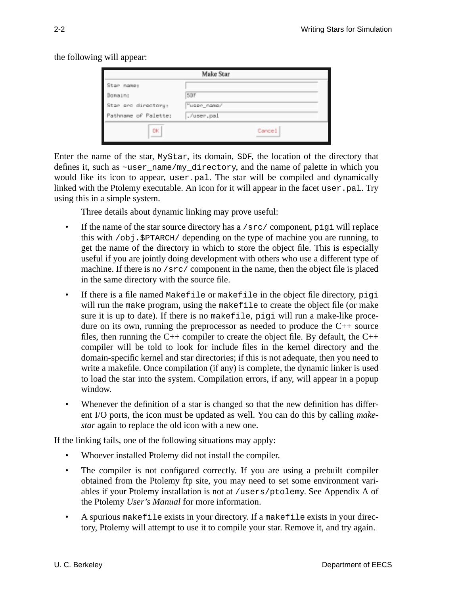the following will appear:

| Make Star            |             |  |
|----------------------|-------------|--|
| Star name:           |             |  |
| Domain:              | SDF         |  |
| Star src directory:  | "user_nate/ |  |
| Pathname of Palette: | ./user.pal  |  |
| <b>DK</b>            | Cancel      |  |

Enter the name of the star, MyStar, its domain, SDF, the location of the directory that defines it, such as ~user\_name/my\_directory, and the name of palette in which you would like its icon to appear, user.pal. The star will be compiled and dynamically linked with the Ptolemy executable. An icon for it will appear in the facet user, pal. Try using this in a simple system.

Three details about dynamic linking may prove useful:

- If the name of the star source directory has a /src/ component, pigi will replace this with  $\sqrt{obj}$ .  $\frac{SPTARCH}{depth}$  depending on the type of machine you are running, to get the name of the directory in which to store the object file. This is especially useful if you are jointly doing development with others who use a different type of machine. If there is no /src/ component in the name, then the object file is placed in the same directory with the source file.
- If there is a file named Makefile or makefile in the object file directory, pigi will run the make program, using the makefile to create the object file (or make sure it is up to date). If there is no makefile, pigi will run a make-like procedure on its own, running the preprocessor as needed to produce the C++ source files, then running the  $C_{++}$  compiler to create the object file. By default, the  $C_{++}$ compiler will be told to look for include files in the kernel directory and the domain-specific kernel and star directories; if this is not adequate, then you need to write a makefile. Once compilation (if any) is complete, the dynamic linker is used to load the star into the system. Compilation errors, if any, will appear in a popup window.
- Whenever the definition of a star is changed so that the new definition has different I/O ports, the icon must be updated as well. You can do this by calling *makestar* again to replace the old icon with a new one.

If the linking fails, one of the following situations may apply:

- Whoever installed Ptolemy did not install the compiler.
- The compiler is not configured correctly. If you are using a prebuilt compiler obtained from the Ptolemy ftp site, you may need to set some environment variables if your Ptolemy installation is not at /users/ptolemy. See Appendix A of the Ptolemy *User's Manual* for more information.
- A spurious makefile exists in your directory. If a makefile exists in your directory, Ptolemy will attempt to use it to compile your star. Remove it, and try again.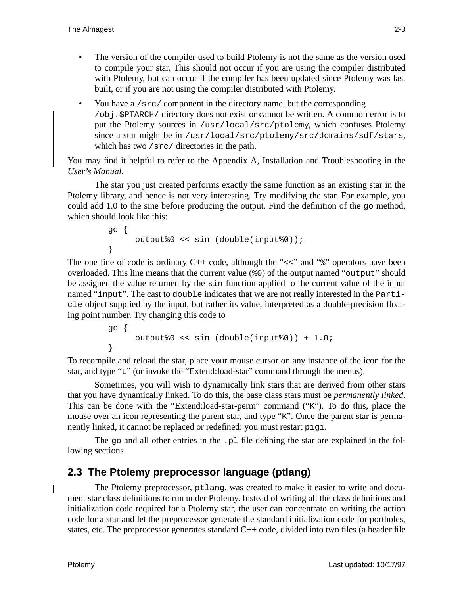- The version of the compiler used to build Ptolemy is not the same as the version used to compile your star. This should not occur if you are using the compiler distributed with Ptolemy, but can occur if the compiler has been updated since Ptolemy was last built, or if you are not using the compiler distributed with Ptolemy.
- You have a /src/ component in the directory name, but the corresponding /obj.\$PTARCH/ directory does not exist or cannot be written. A common error is to put the Ptolemy sources in /usr/local/src/ptolemy, which confuses Ptolemy since a star might be in /usr/local/src/ptolemy/src/domains/sdf/stars, which has two /src/ directories in the path.

You may find it helpful to refer to the Appendix A, Installation and Troubleshooting in the *User's Manual*.

The star you just created performs exactly the same function as an existing star in the Ptolemy library, and hence is not very interesting. Try modifying the star. For example, you could add 1.0 to the sine before producing the output. Find the definition of the go method, which should look like this:

```
go {
     output%0 << sin (double(input%0));
}
```
The one line of code is ordinary  $C_{++}$  code, although the " $<<$ " and " $\frac{1}{8}$ " operators have been overloaded. This line means that the current value (%0) of the output named "output" should be assigned the value returned by the sin function applied to the current value of the input named "input". The cast to double indicates that we are not really interested in the Particle object supplied by the input, but rather its value, interpreted as a double-precision floating point number. Try changing this code to

```
go {
     output%0 << sin (double(input%0)) + 1.0;
}
```
To recompile and reload the star, place your mouse cursor on any instance of the icon for the star, and type "L" (or invoke the "Extend:load-star" command through the menus).

Sometimes, you will wish to dynamically link stars that are derived from other stars that you have dynamically linked. To do this, the base class stars must be *permanently linked*. This can be done with the "Extend:load-star-perm" command ("K"). To do this, place the mouse over an icon representing the parent star, and type "K". Once the parent star is permanently linked, it cannot be replaced or redefined: you must restart pigi.

The go and all other entries in the .pl file defining the star are explained in the following sections.

# **2.3 The Ptolemy preprocessor language (ptlang)**

The Ptolemy preprocessor, ptlang, was created to make it easier to write and document star class definitions to run under Ptolemy. Instead of writing all the class definitions and initialization code required for a Ptolemy star, the user can concentrate on writing the action code for a star and let the preprocessor generate the standard initialization code for portholes, states, etc. The preprocessor generates standard  $C_{++}$  code, divided into two files (a header file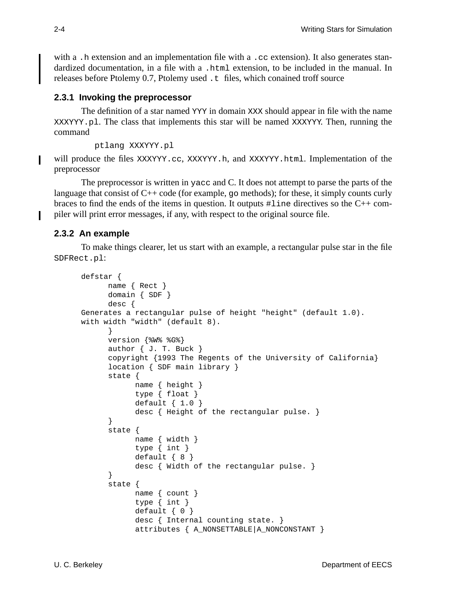with a .h extension and an implementation file with a .cc extension). It also generates standardized documentation, in a file with a .html extension, to be included in the manual. In releases before Ptolemy 0.7, Ptolemy used .t files, which conained troff source

#### **2.3.1 Invoking the preprocessor**

The definition of a star named YYY in domain XXX should appear in file with the name XXXYYY.pl. The class that implements this star will be named XXXYYY. Then, running the command

```
ptlang XXXYYY.pl
```
will produce the files  $\overline{XXXYYY}$ .cc,  $\overline{XXXYYY}$ .h, and  $\overline{XXXYYY}$ .html. Implementation of the preprocessor

The preprocessor is written in yacc and C. It does not attempt to parse the parts of the language that consist of  $C_{++}$  code (for example, go methods); for these, it simply counts curly braces to find the ends of the items in question. It outputs  $\#$ line directives so the C++ compiler will print error messages, if any, with respect to the original source file.

## **2.3.2 An example**

To make things clearer, let us start with an example, a rectangular pulse star in the file SDFRect.pl:

```
defstar {
      name { Rect }
      domain { SDF }
      desc {
Generates a rectangular pulse of height "height" (default 1.0).
with width "width" (default 8).
      }
      version {%W% %G%}
      author \{ J. T. Buck \}copyright {1993 The Regents of the University of California}
      location { SDF main library }
      state {
           name { height }
           type { float }
            default { 1.0 }
            desc { Height of the rectangular pulse. }
      }
      state {
            name { width }
            type { int }
            default { 8 }
            desc { Width of the rectangular pulse. }
      }
      state {
            name { count }
            type { int }
            default \{ 0 \}desc { Internal counting state. }
            attributes { A_NONSETTABLE|A_NONCONSTANT }
```
I

L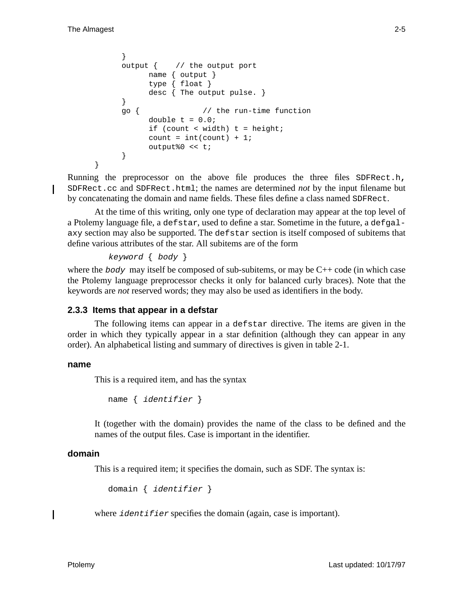}

```
}
output { // the output port
     name { output }
     type { float }
     desc { The output pulse. }
}
go { // the run-time function
     double t = 0.0;
     if (count < width) t = height;
     count = int(count) + 1;output%0 << t;
}
```
Running the preprocessor on the above file produces the three files SDFRect.h**,** SDFRect.cc and SDFRect.html; the names are determined *not* by the input filename but by concatenating the domain and name fields. These files define a class named SDFRect.

At the time of this writing, only one type of declaration may appear at the top level of a Ptolemy language file, a defstar, used to define a star. Sometime in the future, a defgalaxy section may also be supported. The defstar section is itself composed of subitems that define various attributes of the star. All subitems are of the form

```
keyword { body }
```
where the body may itself be composed of sub-subitems, or may be  $C_{++}$  code (in which case the Ptolemy language preprocessor checks it only for balanced curly braces). Note that the keywords are *not* reserved words; they may also be used as identifiers in the body.

## **2.3.3 Items that appear in a defstar**

The following items can appear in a defstar directive. The items are given in the order in which they typically appear in a star definition (although they can appear in any order). An alphabetical listing and summary of directives is given in table 2-1.

#### **name**

This is a required item, and has the syntax

```
name { identifier }
```
It (together with the domain) provides the name of the class to be defined and the names of the output files. Case is important in the identifier.

#### **domain**

This is a required item; it specifies the domain, such as SDF. The syntax is:

```
domain { identifier }
```
where *identifier* specifies the domain (again, case is important).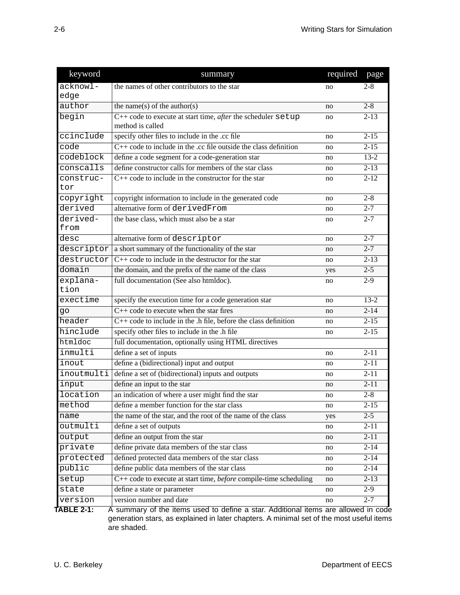| keyword    | summary                                                                  | required | page              |
|------------|--------------------------------------------------------------------------|----------|-------------------|
| $acknow1-$ | the names of other contributors to the star                              | no       | $2 - 8$           |
| edge       |                                                                          |          |                   |
| author     | the name(s) of the author(s)                                             | no       | $2 - 8$           |
| begin      | $C++$ code to execute at start time, <i>after</i> the scheduler $setup$  | no       | $2 - 13$          |
|            | method is called                                                         |          |                   |
| ccinclude  | specify other files to include in the .cc file                           | no       | $2 - 15$          |
| code       | $C++$ code to include in the .cc file outside the class definition       | no       | $2 - 15$          |
| codeblock  | define a code segment for a code-generation star                         | no       | $13 - 2$          |
| conscalls  | define constructor calls for members of the star class                   | no       | $2 - 13$          |
| construc-  | $C++$ code to include in the constructor for the star                    | no       | $2 - 12$          |
| tor        |                                                                          |          |                   |
| copyright  | copyright information to include in the generated code                   | no       | $2 - 8$           |
| derived    | alternative form of derivedFrom                                          | no       | $2 - 7$           |
| derived-   | the base class, which must also be a star                                | no       | $2 - 7$           |
| from       |                                                                          |          |                   |
| desc       | alternative form of descriptor                                           | no       | $2 - 7$           |
| descriptor | a short summary of the functionality of the star                         | no       | $2 - 7$           |
| destructor | $C++$ code to include in the destructor for the star                     | no       | $2 - 13$          |
| domain     | the domain, and the prefix of the name of the class                      | yes      | $2 - 5$           |
| explana-   | full documentation (See also htmldoc).                                   | no       | $2-9$             |
| tion       |                                                                          |          |                   |
| exectime   | specify the execution time for a code generation star                    | no       | $13 - 2$          |
| go         | $C++$ code to execute when the star fires                                | no       | $2 - 14$          |
| header     | $C++$ code to include in the .h file, before the class definition        | no       | $2 - 15$          |
| hinclude   | specify other files to include in the .h file                            | no       | $2 - 15$          |
| htmldoc    | full documentation, optionally using HTML directives                     |          |                   |
| inmulti    | define a set of inputs                                                   | no       | $2 - 11$          |
| inout      | define a (bidirectional) input and output                                | no       | $\overline{2-11}$ |
| inoutmulti | define a set of (bidirectional) inputs and outputs                       | no       | $\overline{2-11}$ |
| input      | define an input to the star                                              | no       | $2 - 11$          |
| location   | an indication of where a user might find the star                        | no       | $2 - 8$           |
| method     | define a member function for the star class                              | no       | $2 - 15$          |
| name       | the name of the star, and the root of the name of the class              | yes      | $2 - 5$           |
| outmulti   | define a set of outputs                                                  | no       | $2 - 11$          |
| output     | define an output from the star                                           | no       | $2 - 11$          |
| private    | define private data members of the star class                            | no       | $2 - 14$          |
| protected  | defined protected data members of the star class                         | no       | $2 - 14$          |
| public     | define public data members of the star class                             | no       | $2 - 14$          |
| setup      | C++ code to execute at start time, <i>before</i> compile-time scheduling | no       | $2 - 13$          |
| state      | define a state or parameter                                              | no       | $2-9$             |
| version    | version number and date                                                  | no       | $2 - 7$           |

**TABLE 2-1:** A summary of the items used to define a star. Additional items are allowed in code generation stars, as explained in later chapters. A minimal set of the most useful items are shaded.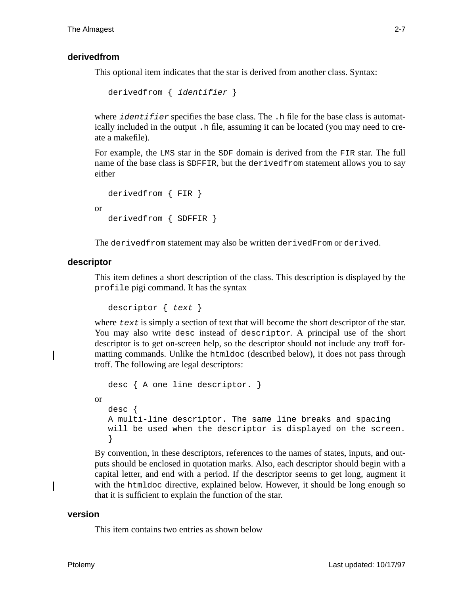#### **derivedfrom**

This optional item indicates that the star is derived from another class. Syntax:

```
derivedfrom { identifier }
```
where  $identifier$  specifies the base class. The  $\cdot$ h file for the base class is automatically included in the output .h file, assuming it can be located (you may need to create a makefile).

For example, the LMS star in the SDF domain is derived from the FIR star. The full name of the base class is SDFFIR, but the derivedfrom statement allows you to say either

```
derivedfrom { FIR }
or
   derivedfrom { SDFFIR }
```
The derivedfrom statement may also be written derivedFrom or derived.

#### **descriptor**

Ι

I

This item defines a short description of the class. This description is displayed by the profile pigi command. It has the syntax

descriptor { text }

where  $text$  is simply a section of text that will become the short descriptor of the star. You may also write desc instead of descriptor. A principal use of the short descriptor is to get on-screen help, so the descriptor should not include any troff formatting commands. Unlike the htmldoc (described below), it does not pass through troff. The following are legal descriptors:

```
desc { A one line descriptor. }
or
  desc {
  A multi-line descriptor. The same line breaks and spacing
  will be used when the descriptor is displayed on the screen.
   }
```
By convention, in these descriptors, references to the names of states, inputs, and outputs should be enclosed in quotation marks. Also, each descriptor should begin with a capital letter, and end with a period. If the descriptor seems to get long, augment it with the htmldoc directive, explained below. However, it should be long enough so that it is sufficient to explain the function of the star.

#### **version**

This item contains two entries as shown below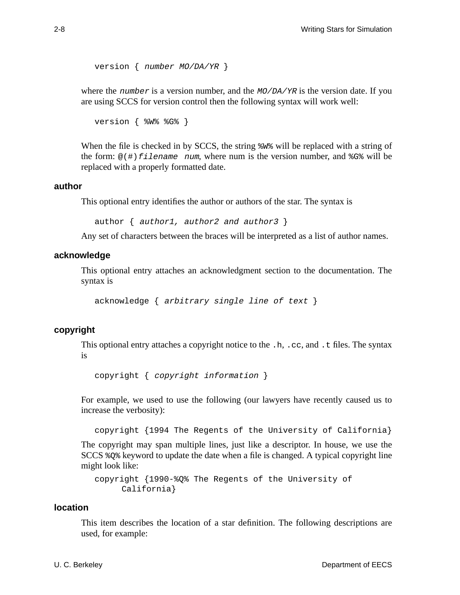```
version { number MO/DA/YR }
```
where the number is a version number, and the  $MO/DA/YR$  is the version date. If you are using SCCS for version control then the following syntax will work well:

```
version { %W% %G% }
```
When the file is checked in by SCCS, the string %W% will be replaced with a string of the form:  $\omega$ (#) filename num, where num is the version number, and  $\S$ G $\%$  will be replaced with a properly formatted date.

#### **author**

This optional entry identifies the author or authors of the star. The syntax is

```
author \{ author1, author2 and author3 \}
```
Any set of characters between the braces will be interpreted as a list of author names.

#### **acknowledge**

This optional entry attaches an acknowledgment section to the documentation. The syntax is

acknowledge { arbitrary single line of text }

#### **copyright**

This optional entry attaches a copyright notice to the  $\cdot$  h,  $\cdot$  cc, and  $\cdot$  t files. The syntax is

copyright { copyright information }

For example, we used to use the following (our lawyers have recently caused us to increase the verbosity):

copyright {1994 The Regents of the University of California}

The copyright may span multiple lines, just like a descriptor. In house, we use the SCCS %Q% keyword to update the date when a file is changed. A typical copyright line might look like:

```
copyright {1990-%Q% The Regents of the University of
     California}
```
#### **location**

This item describes the location of a star definition. The following descriptions are used, for example: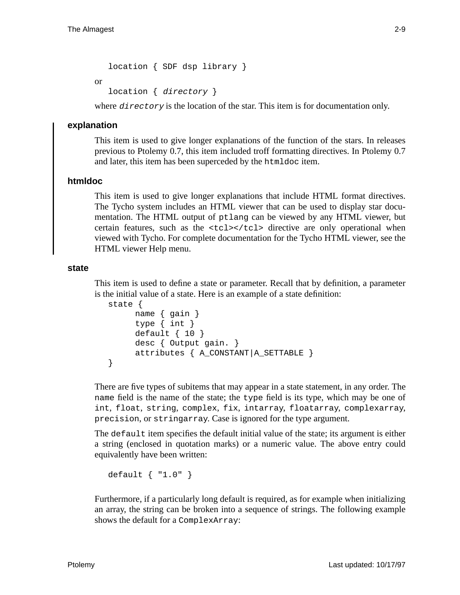location { SDF dsp library }

or

location { directory }

where *directory* is the location of the star. This item is for documentation only.

## **explanation**

This item is used to give longer explanations of the function of the stars. In releases previous to Ptolemy 0.7, this item included troff formatting directives. In Ptolemy 0.7 and later, this item has been superceded by the htmldoc item.

## **htmldoc**

This item is used to give longer explanations that include HTML format directives. The Tycho system includes an HTML viewer that can be used to display star documentation. The HTML output of ptlang can be viewed by any HTML viewer, but certain features, such as the  $<\text{tcl}\rightthreetimes/<\text{tcl}\rightthreetimes$  directive are only operational when viewed with Tycho. For complete documentation for the Tycho HTML viewer, see the HTML viewer Help menu.

#### **state**

This item is used to define a state or parameter. Recall that by definition, a parameter is the initial value of a state. Here is an example of a state definition:

```
state {
     name { gain }
     type { int }
     default \{ 10 \}desc { Output gain. }
     attributes { A_CONSTANT|A_SETTABLE }
}
```
There are five types of subitems that may appear in a state statement, in any order. The name field is the name of the state; the type field is its type, which may be one of int, float, string, complex, fix, intarray, floatarray, complexarray, precision, or stringarray. Case is ignored for the type argument.

The default item specifies the default initial value of the state; its argument is either a string (enclosed in quotation marks) or a numeric value. The above entry could equivalently have been written:

default { "1.0" }

Furthermore, if a particularly long default is required, as for example when initializing an array, the string can be broken into a sequence of strings. The following example shows the default for a ComplexArray: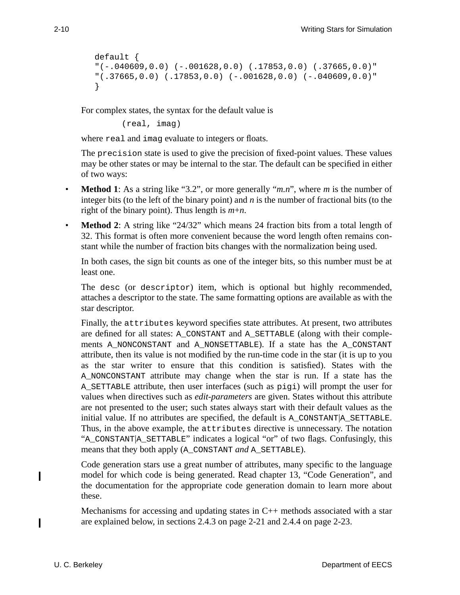```
default {
"(-.040609, 0.0) (-.001628, 0.0) (.17853, 0.0) (.37665, 0.0)""(.37665, 0.0) (.17853, 0.0) (-.001628, 0.0) (-.040609, 0.0)"}
```
For complex states, the syntax for the default value is

(real, imag)

where real and imag evaluate to integers or floats.

The precision state is used to give the precision of fixed-point values. These values may be other states or may be internal to the star. The default can be specified in either of two ways:

- **Method 1**: As a string like "3.2", or more generally "*m.n*", where *m* is the number of integer bits (to the left of the binary point) and *n* is the number of fractional bits (to the right of the binary point). Thus length is *m*+*n*.
- **Method 2**: A string like "24/32" which means 24 fraction bits from a total length of 32. This format is often more convenient because the word length often remains constant while the number of fraction bits changes with the normalization being used.

In both cases, the sign bit counts as one of the integer bits, so this number must be at least one.

The desc (or descriptor) item, which is optional but highly recommended, attaches a descriptor to the state. The same formatting options are available as with the star descriptor.

Finally, the attributes keyword specifies state attributes. At present, two attributes are defined for all states: A\_CONSTANT and A\_SETTABLE (along with their complements A\_NONCONSTANT and A\_NONSETTABLE). If a state has the A\_CONSTANT attribute, then its value is not modified by the run-time code in the star (it is up to you as the star writer to ensure that this condition is satisfied). States with the A\_NONCONSTANT attribute may change when the star is run. If a state has the A\_SETTABLE attribute, then user interfaces (such as pigi) will prompt the user for values when directives such as *edit-parameters* are given. States without this attribute are not presented to the user; such states always start with their default values as the initial value. If no attributes are specified, the default is A\_CONSTANT|A\_SETTABLE. Thus, in the above example, the attributes directive is unnecessary. The notation "A\_CONSTANT|A\_SETTABLE" indicates a logical "or" of two flags. Confusingly, this means that they both apply (A\_CONSTANT *and* A\_SETTABLE).

Code generation stars use a great number of attributes, many specific to the language model for which code is being generated. Read chapter 13, "Code Generation", and the documentation for the appropriate code generation domain to learn more about these.

Mechanisms for accessing and updating states in  $C_{++}$  methods associated with a star are explained below, in sections 2.4.3 on page 2-21 and 2.4.4 on page 2-23.

I

Ι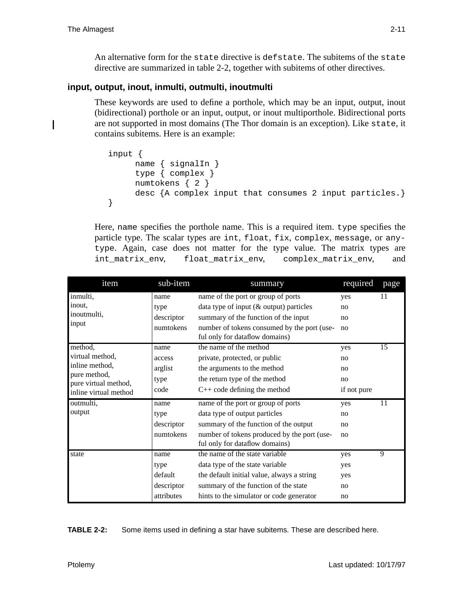An alternative form for the state directive is defstate. The subitems of the state directive are summarized in table 2-2, together with subitems of other directives.

## **input, output, inout, inmulti, outmulti, inoutmulti**

These keywords are used to define a porthole, which may be an input, output, inout (bidirectional) porthole or an input, output, or inout multiporthole. Bidirectional ports are not supported in most domains (The Thor domain is an exception). Like state, it contains subitems. Here is an example:

```
input {
     name { signalIn }
     type { complex }
     numtokens { 2 }
     desc {A complex input that consumes 2 input particles.}
}
```
Here, name specifies the porthole name. This is a required item. type specifies the particle type. The scalar types are int, float, fix, complex, message, or anytype. Again, case does not matter for the type value. The matrix types are int\_matrix\_env, float\_matrix\_env, complex\_matrix\_env, and

| item                                          | sub-item   | summary                                                                       | required    | page           |
|-----------------------------------------------|------------|-------------------------------------------------------------------------------|-------------|----------------|
| inmulti,                                      | name       | name of the port or group of ports                                            | yes         | 11             |
| inout,                                        | type       | data type of input $(\&$ output) particles                                    | no          |                |
| inoutmulti,                                   | descriptor | summary of the function of the input                                          | no          |                |
| input                                         | numtokens  | number of tokens consumed by the port (use-<br>ful only for dataflow domains) | no          |                |
| method,                                       | name       | the name of the method                                                        | yes         | 15             |
| virtual method,                               | access     | private, protected, or public                                                 | no          |                |
| inline method,                                | arglist    | the arguments to the method                                                   | no          |                |
| pure method,                                  | type       | the return type of the method                                                 | no          |                |
| pure virtual method,<br>inline virtual method | code       | $C++code$ defining the method                                                 | if not pure |                |
| outmulti,                                     | name       | name of the port or group of ports                                            | yes         | 11             |
| output                                        | type       | data type of output particles                                                 | no          |                |
|                                               | descriptor | summary of the function of the output                                         | no          |                |
|                                               | numtokens  | number of tokens produced by the port (use-<br>ful only for dataflow domains) | no          |                |
| state                                         | name       | the name of the state variable                                                | yes         | $\overline{9}$ |
|                                               | type       | data type of the state variable                                               | yes         |                |
|                                               | default    | the default initial value, always a string                                    | yes         |                |
|                                               | descriptor | summary of the function of the state                                          | no          |                |
|                                               | attributes | hints to the simulator or code generator                                      | no          |                |

**TABLE 2-2:** Some items used in defining a star have subitems. These are described here.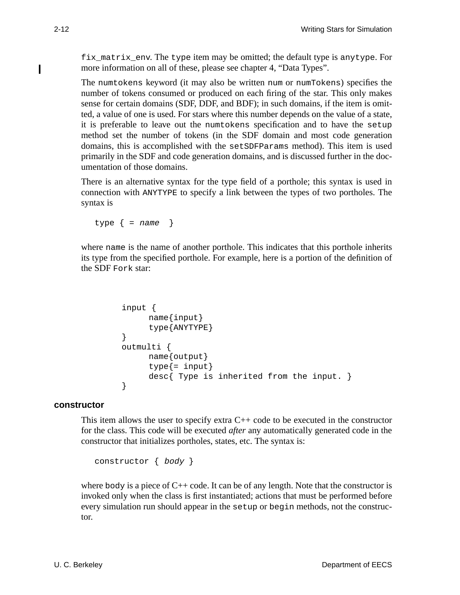fix\_matrix\_env. The type item may be omitted; the default type is anytype. For more information on all of these, please see chapter 4, "Data Types".

The numtokens keyword (it may also be written num or numTokens) specifies the number of tokens consumed or produced on each firing of the star. This only makes sense for certain domains (SDF, DDF, and BDF); in such domains, if the item is omitted, a value of one is used. For stars where this number depends on the value of a state, it is preferable to leave out the numtokens specification and to have the setup method set the number of tokens (in the SDF domain and most code generation domains, this is accomplished with the setSDFParams method). This item is used primarily in the SDF and code generation domains, and is discussed further in the documentation of those domains.

There is an alternative syntax for the type field of a porthole; this syntax is used in connection with ANYTYPE to specify a link between the types of two portholes. The syntax is

type  $\{$  = name  $\}$ 

where name is the name of another porthole. This indicates that this porthole inherits its type from the specified porthole. For example, here is a portion of the definition of the SDF Fork star:

```
input {
      name{input}
      type{ANYTYPE}
}
outmulti {
      name{output}
      type\{=\text{input}\}desc{ Type is inherited from the input. }
}
```
#### **constructor**

This item allows the user to specify extra  $C_{++}$  code to be executed in the constructor for the class. This code will be executed *after* any automatically generated code in the constructor that initializes portholes, states, etc. The syntax is:

```
constructor { body }
```
where body is a piece of  $C_{++}$  code. It can be of any length. Note that the constructor is invoked only when the class is first instantiated; actions that must be performed before every simulation run should appear in the setup or begin methods, not the constructor.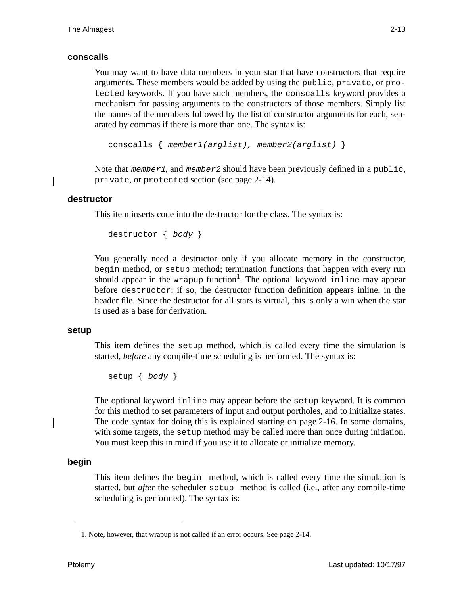#### **conscalls**

You may want to have data members in your star that have constructors that require arguments. These members would be added by using the public, private, or protected keywords. If you have such members, the conscalls keyword provides a mechanism for passing arguments to the constructors of those members. Simply list the names of the members followed by the list of constructor arguments for each, separated by commas if there is more than one. The syntax is:

```
conscalls { member1(arglist), member2(arglist) }
```
Note that member1, and member2 should have been previously defined in a public, private, or protected section (see page 2-14).

#### **destructor**

Π

This item inserts code into the destructor for the class. The syntax is:

```
destructor { body }
```
You generally need a destructor only if you allocate memory in the constructor, begin method, or setup method; termination functions that happen with every run should appear in the wrapup function<sup>1</sup>. The optional keyword inline may appear before destructor; if so, the destructor function definition appears inline, in the header file. Since the destructor for all stars is virtual, this is only a win when the star is used as a base for derivation.

#### **setup**

This item defines the setup method, which is called every time the simulation is started, *before* any compile-time scheduling is performed. The syntax is:

setup { body }

The optional keyword inline may appear before the setup keyword. It is common for this method to set parameters of input and output portholes, and to initialize states. The code syntax for doing this is explained starting on page 2-16. In some domains, with some targets, the setup method may be called more than once during initiation. You must keep this in mind if you use it to allocate or initialize memory.

## **begin**

I

This item defines the begin method, which is called every time the simulation is started, but *after* the scheduler setup method is called (i.e., after any compile-time scheduling is performed). The syntax is:

<sup>1.</sup> Note, however, that wrapup is not called if an error occurs. See page 2-14.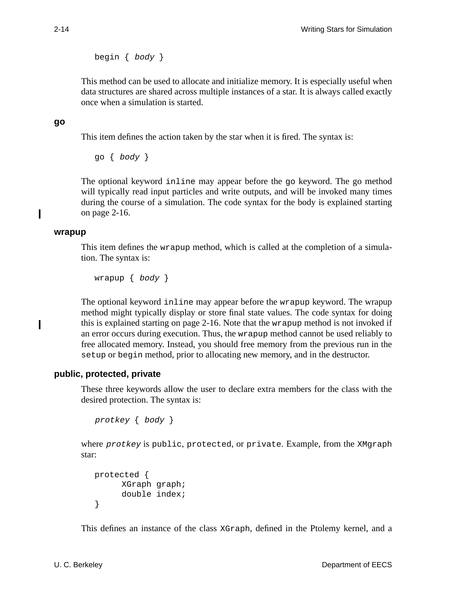begin  $\{$  body  $\}$ 

This method can be used to allocate and initialize memory. It is especially useful when data structures are shared across multiple instances of a star. It is always called exactly once when a simulation is started.

#### **go**

This item defines the action taken by the star when it is fired. The syntax is:

go { body }

The optional keyword inline may appear before the go keyword. The go method will typically read input particles and write outputs, and will be invoked many times during the course of a simulation. The code syntax for the body is explained starting on page 2-16.

#### **wrapup**

Ι

Ι

This item defines the wrapup method, which is called at the completion of a simulation. The syntax is:

wrapup  $\{$  body  $\}$ 

The optional keyword inline may appear before the wrapup keyword. The wrapup method might typically display or store final state values. The code syntax for doing this is explained starting on page 2-16. Note that the wrapup method is not invoked if an error occurs during execution. Thus, the wrapup method cannot be used reliably to free allocated memory. Instead, you should free memory from the previous run in the setup or begin method, prior to allocating new memory, and in the destructor.

## **public, protected, private**

These three keywords allow the user to declare extra members for the class with the desired protection. The syntax is:

```
protkey { body }
```
where *protkey* is public, protected, or private. Example, from the XMgraph star:

```
protected {
     XGraph graph;
     double index;
}
```
This defines an instance of the class XGraph, defined in the Ptolemy kernel, and a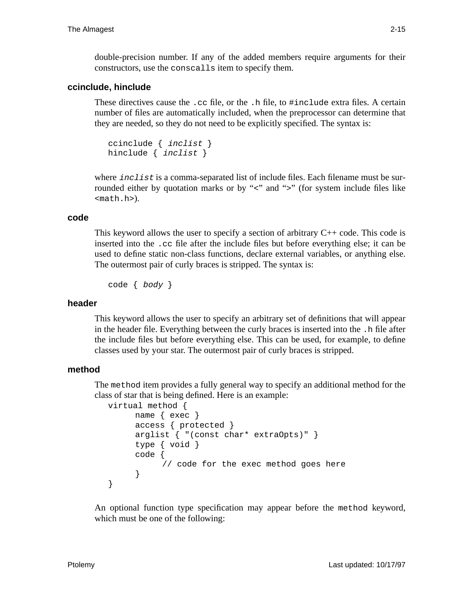double-precision number. If any of the added members require arguments for their constructors, use the conscalls item to specify them.

#### **ccinclude, hinclude**

These directives cause the .cc file, or the .h file, to #include extra files. A certain number of files are automatically included, when the preprocessor can determine that they are needed, so they do not need to be explicitly specified. The syntax is:

```
ccinclude { inclist }
hinclude { inclist }
```
where *inclist* is a comma-separated list of include files. Each filename must be surrounded either by quotation marks or by "<" and ">" (for system include files like <math.h>).

#### **code**

This keyword allows the user to specify a section of arbitrary  $C_{++}$  code. This code is inserted into the .cc file after the include files but before everything else; it can be used to define static non-class functions, declare external variables, or anything else. The outermost pair of curly braces is stripped. The syntax is:

code { body }

#### **header**

This keyword allows the user to specify an arbitrary set of definitions that will appear in the header file. Everything between the curly braces is inserted into the .h file after the include files but before everything else. This can be used, for example, to define classes used by your star. The outermost pair of curly braces is stripped.

#### **method**

The method item provides a fully general way to specify an additional method for the class of star that is being defined. Here is an example:

```
virtual method {
```

```
name { exec }
access { protected }
arglist { "(const char* extraOpts)" }
type { void }
code {
     // code for the exec method goes here
}
```
An optional function type specification may appear before the method keyword, which must be one of the following:

}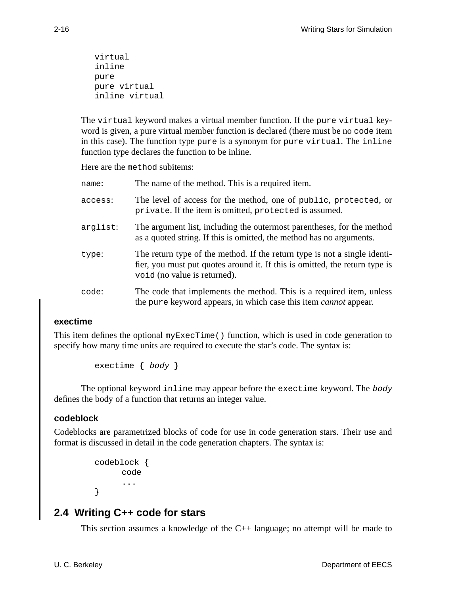```
virtual
inline
pure
pure virtual
inline virtual
```
The virtual keyword makes a virtual member function. If the pure virtual keyword is given, a pure virtual member function is declared (there must be no code item in this case). The function type pure is a synonym for pure virtual. The inline function type declares the function to be inline.

Here are the method subitems:

| name:    | The name of the method. This is a required item.                                                                                                                                         |
|----------|------------------------------------------------------------------------------------------------------------------------------------------------------------------------------------------|
| access:  | The level of access for the method, one of public, protected, or<br>private. If the item is omitted, protected is assumed.                                                               |
| arglist: | The argument list, including the outermost parentheses, for the method<br>as a quoted string. If this is omitted, the method has no arguments.                                           |
| type:    | The return type of the method. If the return type is not a single identi-<br>fier, you must put quotes around it. If this is omitted, the return type is<br>void (no value is returned). |
| code:    | The code that implements the method. This is a required item, unless<br>the pure keyword appears, in which case this item <i>cannot</i> appear.                                          |

#### **exectime**

This item defines the optional myExecTime() function, which is used in code generation to specify how many time units are required to execute the star's code. The syntax is:

exectime { body }

The optional keyword inline may appear before the exectime keyword. The body defines the body of a function that returns an integer value.

#### **codeblock**

Codeblocks are parametrized blocks of code for use in code generation stars. Their use and format is discussed in detail in the code generation chapters. The syntax is:

```
codeblock {
      code
      ...
}
```
# **2.4 Writing C++ code for stars**

This section assumes a knowledge of the C++ language; no attempt will be made to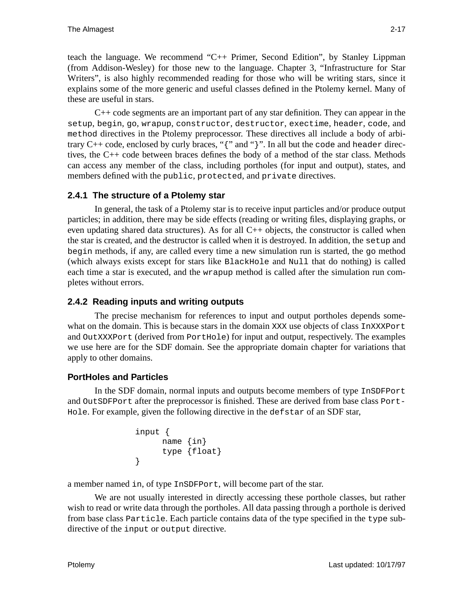teach the language. We recommend "C++ Primer, Second Edition", by Stanley Lippman (from Addison-Wesley) for those new to the language. Chapter 3, "Infrastructure for Star Writers", is also highly recommended reading for those who will be writing stars, since it explains some of the more generic and useful classes defined in the Ptolemy kernel. Many of these are useful in stars.

C++ code segments are an important part of any star definition. They can appear in the setup, begin, go, wrapup, constructor, destructor, exectime, header, code, and method directives in the Ptolemy preprocessor. These directives all include a body of arbitrary  $C++$  code, enclosed by curly braces, "{" and "}". In all but the code and header directives, the C++ code between braces defines the body of a method of the star class. Methods can access any member of the class, including portholes (for input and output), states, and members defined with the public, protected, and private directives.

## **2.4.1 The structure of a Ptolemy star**

In general, the task of a Ptolemy star is to receive input particles and/or produce output particles; in addition, there may be side effects (reading or writing files, displaying graphs, or even updating shared data structures). As for all  $C++$  objects, the constructor is called when the star is created, and the destructor is called when it is destroyed. In addition, the setup and begin methods, if any, are called every time a new simulation run is started, the go method (which always exists except for stars like BlackHole and Null that do nothing) is called each time a star is executed, and the wrapup method is called after the simulation run completes without errors.

## **2.4.2 Reading inputs and writing outputs**

The precise mechanism for references to input and output portholes depends somewhat on the domain. This is because stars in the domain XXX use objects of class InXXXPort and OutXXXPort (derived from PortHole) for input and output, respectively. The examples we use here are for the SDF domain. See the appropriate domain chapter for variations that apply to other domains.

# **PortHoles and Particles**

In the SDF domain, normal inputs and outputs become members of type InSDFPort and OutSDFPort after the preprocessor is finished. These are derived from base class Port-Hole. For example, given the following directive in the defstar of an SDF star,

```
input {
     name {in}
     type {float}
}
```
a member named in, of type InSDFPort, will become part of the star.

We are not usually interested in directly accessing these porthole classes, but rather wish to read or write data through the portholes. All data passing through a porthole is derived from base class Particle. Each particle contains data of the type specified in the type subdirective of the input or output directive.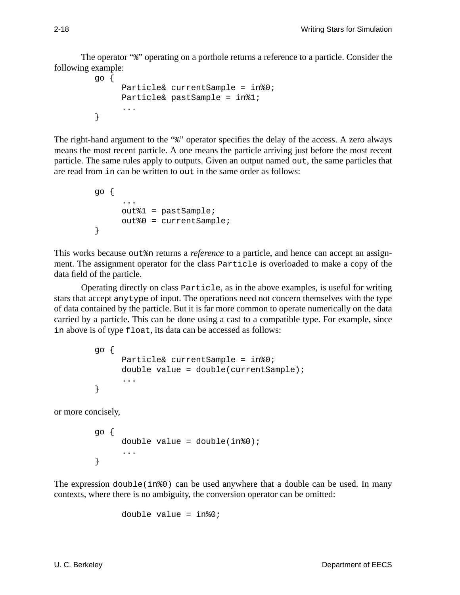The operator "%" operating on a porthole returns a reference to a particle. Consider the following example:

```
go {
     Particle& currentSample = in%0;
     Particle& pastSample = in%1;
      ...
}
```
The right-hand argument to the "\*" operator specifies the delay of the access. A zero always means the most recent particle. A one means the particle arriving just before the most recent particle. The same rules apply to outputs. Given an output named out, the same particles that are read from in can be written to out in the same order as follows:

```
go {
      ...
     out%1 = pastSample;
     out%0 = currentSample;
}
```
This works because out%n returns a *reference* to a particle, and hence can accept an assignment. The assignment operator for the class Particle is overloaded to make a copy of the data field of the particle.

Operating directly on class Particle, as in the above examples, is useful for writing stars that accept anytype of input. The operations need not concern themselves with the type of data contained by the particle. But it is far more common to operate numerically on the data carried by a particle. This can be done using a cast to a compatible type. For example, since in above is of type float, its data can be accessed as follows:

```
go {
     Particle& currentSample = in%0;
     double value = double(currentSample);
      ...
}
```
or more concisely,

```
go {
     double value = double(in80);...
}
```
The expression  $double(in%0)$  can be used anywhere that a double can be used. In many contexts, where there is no ambiguity, the conversion operator can be omitted:

```
double value = in§0;
```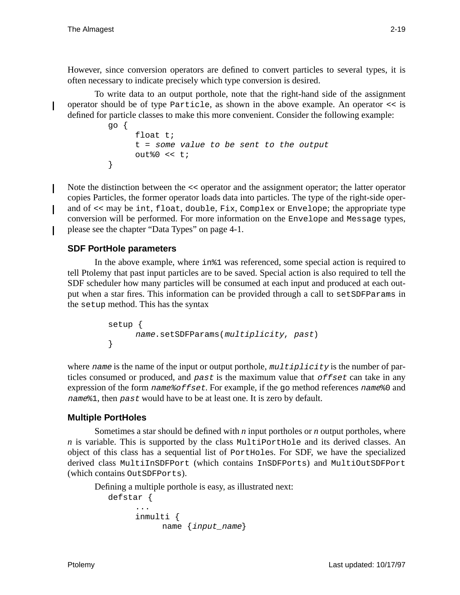However, since conversion operators are defined to convert particles to several types, it is often necessary to indicate precisely which type conversion is desired.

To write data to an output porthole, note that the right-hand side of the assignment operator should be of type Particle, as shown in the above example. An operator << is defined for particle classes to make this more convenient. Consider the following example:

```
go {
     float t;
     t = some value to be sent to the output
     out%0 << t;
}
```
Note the distinction between the << operator and the assignment operator; the latter operator copies Particles, the former operator loads data into particles. The type of the right-side operand of << may be int, float, double, Fix, Complex or Envelope; the appropriate type conversion will be performed. For more information on the Envelope and Message types, please see the chapter "Data Types" on page 4-1.

## **SDF PortHole parameters**

In the above example, where in%1 was referenced, some special action is required to tell Ptolemy that past input particles are to be saved. Special action is also required to tell the SDF scheduler how many particles will be consumed at each input and produced at each output when a star fires. This information can be provided through a call to setSDFParams in the setup method. This has the syntax

```
setup {
     name.setSDFParams(multiplicity, past)
}
```
where name is the name of the input or output porthole,  $multiplicity$  is the number of particles consumed or produced, and past is the maximum value that *offset* can take in any expression of the form  $name\mathcal{E}ofEset$ . For example, if the go method references name  $\mathcal{E}0$  and name%1, then past would have to be at least one. It is zero by default.

## **Multiple PortHoles**

Sometimes a star should be defined with *n* input portholes or *n* output portholes, where *n* is variable. This is supported by the class MultiPortHole and its derived classes. An object of this class has a sequential list of PortHoles. For SDF, we have the specialized derived class MultiInSDFPort (which contains InSDFPorts) and MultiOutSDFPort (which contains OutSDFPorts).

Defining a multiple porthole is easy, as illustrated next:

```
defstar {
     ...
     inmulti {
           name {input_name}
```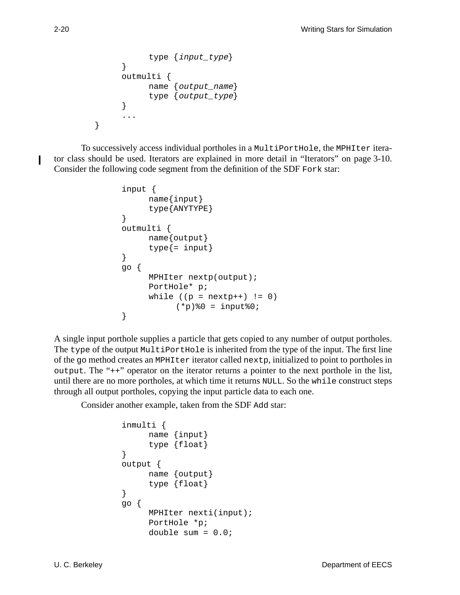```
type {input_type}
}
outmulti {
     name {output_name}
     type {output_type}
}
...
```
To successively access individual portholes in a MultiPortHole, the MPHIter iterator class should be used. Iterators are explained in more detail in "Iterators" on page 3-10. Consider the following code segment from the definition of the SDF Fork star:

```
input {
      name{input}
      type{ANYTYPE}
}
outmulti {
      name{output}
      type\{=\text{input}\}}
go {
      MPHIter nextp(output);
      PortHole* p;
      while ((p = nextp++) != 0)(*p) %0 = input %0;
}
```
A single input porthole supplies a particle that gets copied to any number of output portholes. The type of the output MultiPortHole is inherited from the type of the input. The first line of the go method creates an MPHIter iterator called nextp, initialized to point to portholes in output. The "++" operator on the iterator returns a pointer to the next porthole in the list, until there are no more portholes, at which time it returns NULL. So the while construct steps through all output portholes, copying the input particle data to each one.

Consider another example, taken from the SDF Add star:

```
inmulti {
     name {input}
     type {float}
}
output {
     name {output}
     type {float}
}
go {
     MPHIter nexti(input);
     PortHole *p;
     double sum = 0.0;
```
I

}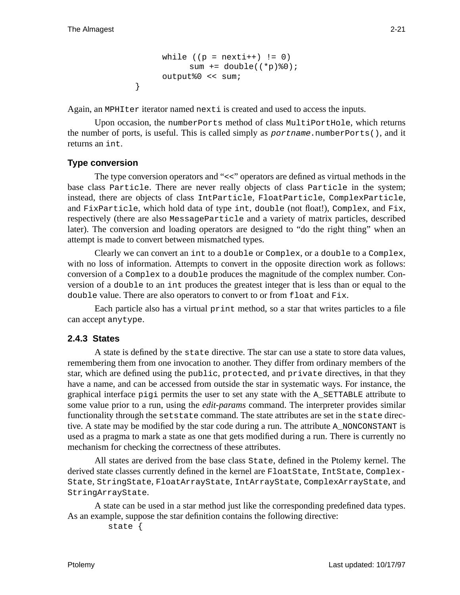```
while ((p = nexti++) != 0)
     sum += double((*p) %0);
output%0 << sum;
```
Again, an MPHIter iterator named nexti is created and used to access the inputs.

Upon occasion, the numberPorts method of class MultiPortHole, which returns the number of ports, is useful. This is called simply as  $portname_numberPorts()$ , and it returns an int.

## **Type conversion**

}

The type conversion operators and "<<" operators are defined as virtual methods in the base class Particle. There are never really objects of class Particle in the system; instead, there are objects of class IntParticle, FloatParticle, ComplexParticle, and FixParticle, which hold data of type int, double (not float!), Complex, and Fix, respectively (there are also MessageParticle and a variety of matrix particles, described later). The conversion and loading operators are designed to "do the right thing" when an attempt is made to convert between mismatched types.

Clearly we can convert an int to a double or Complex, or a double to a Complex, with no loss of information. Attempts to convert in the opposite direction work as follows: conversion of a Complex to a double produces the magnitude of the complex number. Conversion of a double to an int produces the greatest integer that is less than or equal to the double value. There are also operators to convert to or from float and Fix.

Each particle also has a virtual print method, so a star that writes particles to a file can accept anytype.

## **2.4.3 States**

A state is defined by the state directive. The star can use a state to store data values, remembering them from one invocation to another. They differ from ordinary members of the star, which are defined using the public, protected, and private directives, in that they have a name, and can be accessed from outside the star in systematic ways. For instance, the graphical interface pigi permits the user to set any state with the A\_SETTABLE attribute to some value prior to a run, using the *edit-params* command. The interpreter provides similar functionality through the setstate command. The state attributes are set in the state directive. A state may be modified by the star code during a run. The attribute A\_NONCONSTANT is used as a pragma to mark a state as one that gets modified during a run. There is currently no mechanism for checking the correctness of these attributes.

All states are derived from the base class State, defined in the Ptolemy kernel. The derived state classes currently defined in the kernel are FloatState, IntState, Complex-State, StringState, FloatArrayState, IntArrayState, ComplexArrayState, and StringArrayState.

A state can be used in a star method just like the corresponding predefined data types. As an example, suppose the star definition contains the following directive:

```
state {
```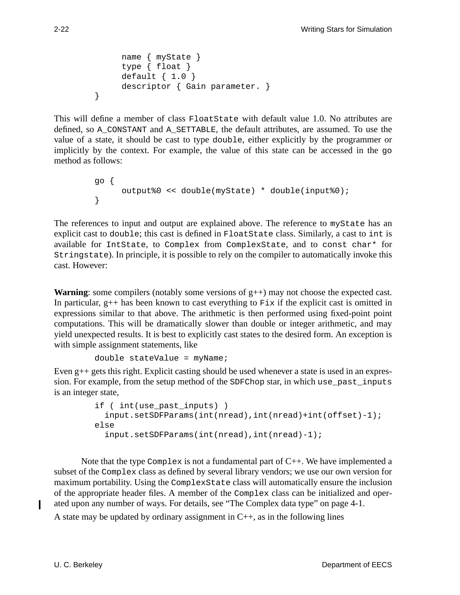```
name { myState }
     type { float }
     default { 1.0 }
     descriptor { Gain parameter. }
}
```
This will define a member of class FloatState with default value 1.0. No attributes are defined, so A\_CONSTANT and A\_SETTABLE, the default attributes, are assumed. To use the value of a state, it should be cast to type double, either explicitly by the programmer or implicitly by the context. For example, the value of this state can be accessed in the go method as follows:

```
go {
     output%0 << double(myState) * double(input%0);
}
```
The references to input and output are explained above. The reference to myState has an explicit cast to double; this cast is defined in FloatState class. Similarly, a cast to int is available for IntState, to Complex from ComplexState, and to const char\* for Stringstate). In principle, it is possible to rely on the compiler to automatically invoke this cast. However:

**Warning**: some compilers (notably some versions of g++) may not choose the expected cast. In particular,  $g_{++}$  has been known to cast everything to  $Fix$  if the explicit cast is omitted in expressions similar to that above. The arithmetic is then performed using fixed-point point computations. This will be dramatically slower than double or integer arithmetic, and may yield unexpected results. It is best to explicitly cast states to the desired form. An exception is with simple assignment statements, like

```
double stateValue = myName;
```
Even g++ gets this right. Explicit casting should be used whenever a state is used in an expression. For example, from the setup method of the SDFChop star, in which use\_past\_inputs is an integer state,

```
if ( int(use_past_inputs) )
  input.setSDFParams(int(nread),int(nread)+int(offset)-1);
else
  input.setSDFParams(int(nread),int(nread)-1);
```
Note that the type  $Complex$  is not a fundamental part of  $C_{++}$ . We have implemented a subset of the Complex class as defined by several library vendors; we use our own version for maximum portability. Using the ComplexState class will automatically ensure the inclusion of the appropriate header files. A member of the Complex class can be initialized and operated upon any number of ways. For details, see "The Complex data type" on page 4-1.

A state may be updated by ordinary assignment in  $C_{++}$ , as in the following lines

I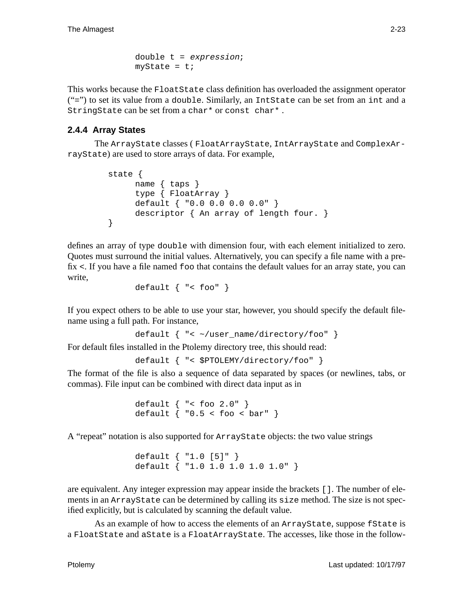```
double t = expression;
myState = ti
```
This works because the FloatState class definition has overloaded the assignment operator ("=") to set its value from a double. Similarly, an IntState can be set from an int and a StringState can be set from a char\* or const char\* .

## **2.4.4 Array States**

The ArrayState classes ( FloatArrayState, IntArrayState and ComplexArrayState) are used to store arrays of data. For example,

```
state {
     name { taps }
     type { FloatArray }
     default { "0.0 0.0 0.0 0.0" }
     descriptor { An array of length four. }
}
```
defines an array of type double with dimension four, with each element initialized to zero. Quotes must surround the initial values. Alternatively, you can specify a file name with a prefix  $\lt$ . If you have a file named  $f \circ \circ \circ$  that contains the default values for an array state, you can write,

```
default { "< foo" }
```
If you expect others to be able to use your star, however, you should specify the default filename using a full path. For instance,

```
default { "< ~/user_name/directory/foo" }
```
For default files installed in the Ptolemy directory tree, this should read:

```
default { "< $PTOLEMY/directory/foo" }
```
The format of the file is also a sequence of data separated by spaces (or newlines, tabs, or commas). File input can be combined with direct data input as in

```
default { "< foo 2.0" }
default \{ 0.5 < foo < bar" \}
```
A "repeat" notation is also supported for ArrayState objects: the two value strings

```
default { "1.0 [5]" }
default { "1.0 1.0 1.0 1.0 1.0" }
```
are equivalent. Any integer expression may appear inside the brackets []. The number of elements in an ArrayState can be determined by calling its size method. The size is not specified explicitly, but is calculated by scanning the default value.

As an example of how to access the elements of an ArrayState, suppose fState is a FloatState and aState is a FloatArrayState. The accesses, like those in the follow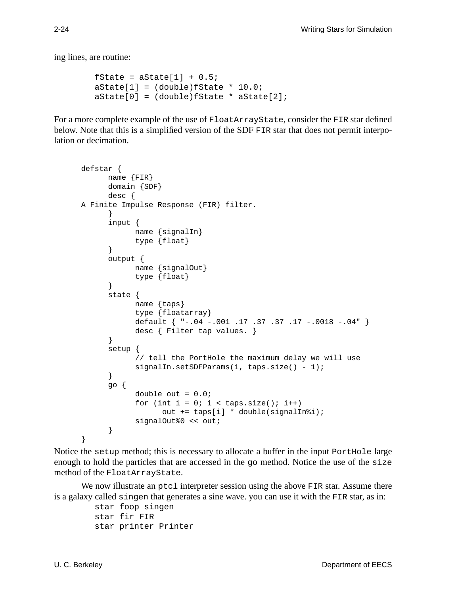ing lines, are routine:

```
fState = aState[1] + 0.5;
aState[1] = (double)fState * 10.0;
aState[0] = (double) fState * aState[2];
```
For a more complete example of the use of FloatArrayState, consider the FIR star defined below. Note that this is a simplified version of the SDF FIR star that does not permit interpolation or decimation.

```
defstar {
      name {FIR}
      domain {SDF}
      desc {
A Finite Impulse Response (FIR) filter.
      }
      input {
            name {signalIn}
            type {float}
      }
      output {
            name {signalOut}
            type {float}
      }
      state {
            name {taps}
            type {floatarray}
            default { "-.04 -.001 .17 .37 .37 .17 -.0018 -.04" }
            desc { Filter tap values. }
      }
      setup {
            // tell the PortHole the maximum delay we will use
            signalIn.setSDFParams(1, taps.size() - 1);
      }
      go {
            double out = 0.0;
            for (int i = 0; i < taps.size(); i++)out += taps[i] * double(signalIn%i);
            signalOut%0 << out;
      }
}
```
Notice the setup method; this is necessary to allocate a buffer in the input PortHole large enough to hold the particles that are accessed in the go method. Notice the use of the size method of the FloatArrayState.

We now illustrate an  $ptc1$  interpreter session using the above FIR star. Assume there is a galaxy called singen that generates a sine wave. you can use it with the FIR star, as in:

> star foop singen star fir FIR star printer Printer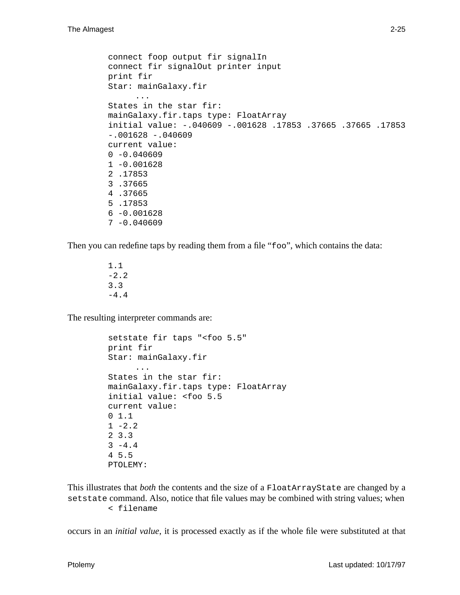```
connect foop output fir signalIn
connect fir signalOut printer input
print fir
Star: mainGalaxy.fir
     ...
States in the star fir:
mainGalaxy.fir.taps type: FloatArray
initial value: -.040609 -.001628 .17853 .37665 .37665 .17853
-.001628 - .040609current value:
0 - 0.0406091 -0.001628
2 .17853
3 .37665
4 .37665
5 .17853
6 -0.0016287 - 0.040609
```
Then you can redefine taps by reading them from a file " $f \circ \circ$ ", which contains the data:

1.1  $-2.2$ 3.3 -4.4

The resulting interpreter commands are:

```
setstate fir taps "<foo 5.5"
print fir
Star: mainGalaxy.fir
     ...
States in the star fir:
mainGalaxy.fir.taps type: FloatArray
initial value: <foo 5.5
current value:
0 1.1
1 - 2.22 3.3
3 - 4.44 5.5
PTOLEMY:
```
This illustrates that *both* the contents and the size of a FloatArrayState are changed by a setstate command. Also, notice that file values may be combined with string values; when < filename

occurs in an *initial value*, it is processed exactly as if the whole file were substituted at that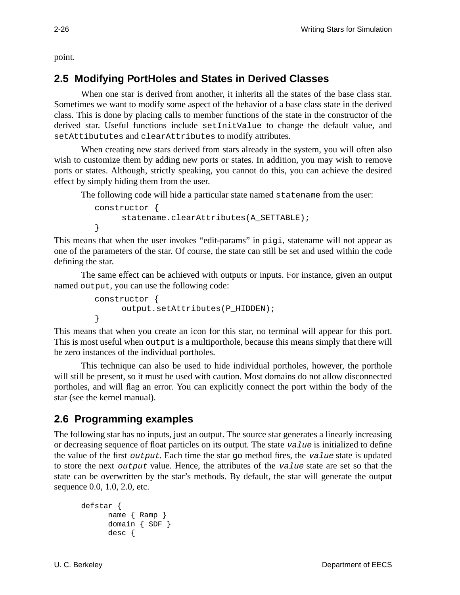point.

# **2.5 Modifying PortHoles and States in Derived Classes**

When one star is derived from another, it inherits all the states of the base class star. Sometimes we want to modify some aspect of the behavior of a base class state in the derived class. This is done by placing calls to member functions of the state in the constructor of the derived star. Useful functions include setInitValue to change the default value, and setAttibututes and clearAttributes to modify attributes.

When creating new stars derived from stars already in the system, you will often also wish to customize them by adding new ports or states. In addition, you may wish to remove ports or states. Although, strictly speaking, you cannot do this, you can achieve the desired effect by simply hiding them from the user.

The following code will hide a particular state named statename from the user:

```
constructor {
     statename.clearAttributes(A_SETTABLE);
}
```
This means that when the user invokes "edit-params" in pigi, statename will not appear as one of the parameters of the star. Of course, the state can still be set and used within the code defining the star.

The same effect can be achieved with outputs or inputs. For instance, given an output named output, you can use the following code:

```
constructor {
     output.setAttributes(P_HIDDEN);
}
```
This means that when you create an icon for this star, no terminal will appear for this port. This is most useful when output is a multiporthole, because this means simply that there will be zero instances of the individual portholes.

This technique can also be used to hide individual portholes, however, the porthole will still be present, so it must be used with caution. Most domains do not allow disconnected portholes, and will flag an error. You can explicitly connect the port within the body of the star (see the kernel manual).

# **2.6 Programming examples**

The following star has no inputs, just an output. The source star generates a linearly increasing or decreasing sequence of float particles on its output. The state  $value$  is initialized to define the value of the first *output*. Each time the star go method fires, the value state is updated to store the next output value. Hence, the attributes of the value state are set so that the state can be overwritten by the star's methods. By default, the star will generate the output sequence 0.0, 1.0, 2.0, etc.

```
defstar {
     name { Ramp }
      domain { SDF }
     desc {
```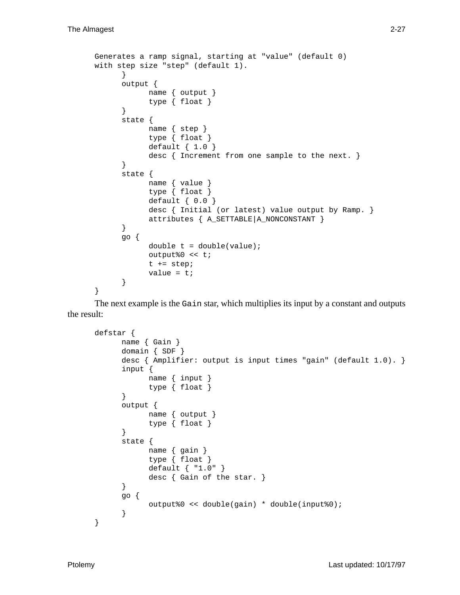```
Generates a ramp signal, starting at "value" (default 0)
with step size "step" (default 1).
      }
      output {
            name { output }
            type { float }
      }
      state {
            name { step }
            type { float }
            default { 1.0 }
            desc { Increment from one sample to the next. }
      }
      state {
            name { value }
            type { float }
            default { 0.0 }
            desc { Initial (or latest) value output by Ramp. }
            attributes { A_SETTABLE|A_NONCONSTANT }
      }
      go {
            double t = double(value);output%0 << t;
            t += step;
            value = t;
      }
}
```
The next example is the Gain star, which multiplies its input by a constant and outputs the result:

```
defstar {
      name { Gain }
      domain { SDF }
      desc { Amplifier: output is input times "gain" (default 1.0). }
      input {
            name { input }
            type { float }
      }
      output {
            name { output }
            type { float }
      }
      state {
            name { gain }
            type { float }
            default { "1.0" }
            desc { Gain of the star. }
      }
      go {
            output%0 << double(gain) * double(input%0);
      }
}
```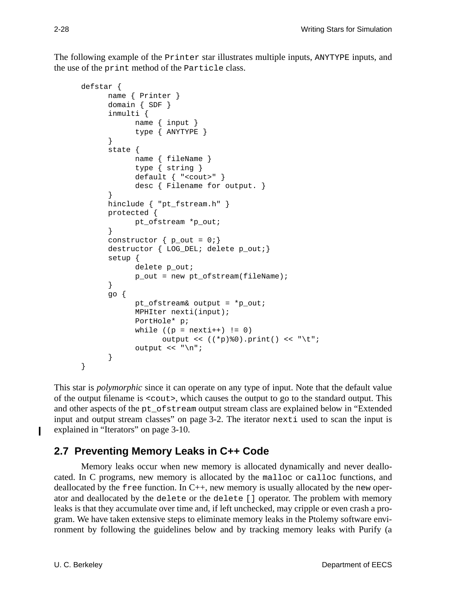The following example of the Printer star illustrates multiple inputs, ANYTYPE inputs, and the use of the print method of the Particle class.

```
defstar {
      name { Printer }
      domain { SDF }
      inmulti {
            name { input }
            type { ANYTYPE }
      }
      state {
            name { fileName }
            type { string }
            default { "<cout>" }
            desc { Filename for output. }
      }
      hinclude { "pt fstream.h" }
      protected {
            pt_ofstream *p_out;
      }
      constructor \{ p_out = 0; \}destructor { LOG_DEL; delete p_out;}
      setup {
            delete p_out;
            p_out = new pt_ofstream(fileName);
      }
      go {
            pt ofstream& output = *p out;
            MPHIter nexti(input);
            PortHole* p;
            while ((p = nexti++) != 0)
                  output << ((*p)%0).print() << "\t";
            output << "\n";
      }
}
```
This star is *polymorphic* since it can operate on any type of input. Note that the default value of the output filename is <cout>, which causes the output to go to the standard output. This and other aspects of the pt\_ofstream output stream class are explained below in "Extended input and output stream classes" on page 3-2. The iterator nexti used to scan the input is explained in "Iterators" on page 3-10.

# **2.7 Preventing Memory Leaks in C++ Code**

Memory leaks occur when new memory is allocated dynamically and never deallocated. In C programs, new memory is allocated by the malloc or calloc functions, and deallocated by the free function. In  $C_{++}$ , new memory is usually allocated by the new operator and deallocated by the delete or the delete [] operator. The problem with memory leaks is that they accumulate over time and, if left unchecked, may cripple or even crash a program. We have taken extensive steps to eliminate memory leaks in the Ptolemy software environment by following the guidelines below and by tracking memory leaks with Purify (a

I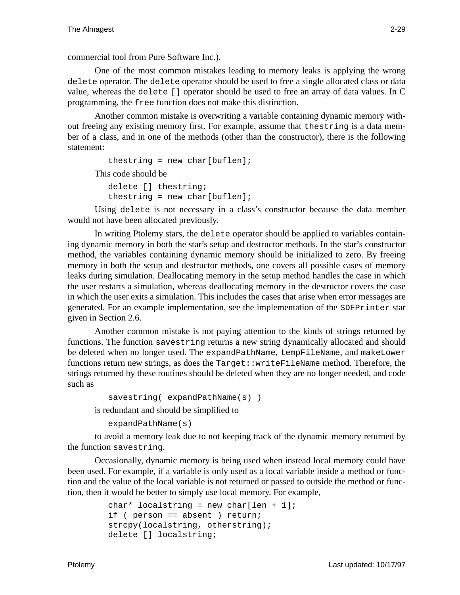commercial tool from Pure Software Inc.).

One of the most common mistakes leading to memory leaks is applying the wrong delete operator. The delete operator should be used to free a single allocated class or data value, whereas the delete [] operator should be used to free an array of data values. In C programming, the free function does not make this distinction.

Another common mistake is overwriting a variable containing dynamic memory without freeing any existing memory first. For example, assume that thestring is a data member of a class, and in one of the methods (other than the constructor), there is the following statement:

```
thestring = new char[buflen];
This code should be
```

```
delete [] thestring;
thestring = new char[buflen];
```
Using delete is not necessary in a class's constructor because the data member would not have been allocated previously.

In writing Ptolemy stars, the delete operator should be applied to variables containing dynamic memory in both the star's setup and destructor methods. In the star's constructor method, the variables containing dynamic memory should be initialized to zero. By freeing memory in both the setup and destructor methods, one covers all possible cases of memory leaks during simulation. Deallocating memory in the setup method handles the case in which the user restarts a simulation, whereas deallocating memory in the destructor covers the case in which the user exits a simulation. This includes the cases that arise when error messages are generated. For an example implementation, see the implementation of the SDFPrinter star given in Section 2.6.

Another common mistake is not paying attention to the kinds of strings returned by functions. The function savestring returns a new string dynamically allocated and should be deleted when no longer used. The expandPathName, tempFileName, and makeLower functions return new strings, as does the Target::writeFileName method. Therefore, the strings returned by these routines should be deleted when they are no longer needed, and code such as

```
savestring( expandPathName(s) )
is redundant and should be simplified to
```

```
expandPathName(s)
```
to avoid a memory leak due to not keeping track of the dynamic memory returned by the function savestring.

Occasionally, dynamic memory is being used when instead local memory could have been used. For example, if a variable is only used as a local variable inside a method or function and the value of the local variable is not returned or passed to outside the method or function, then it would be better to simply use local memory. For example,

```
char* localstring = new char[len + 1];
if ( person == absent ) return;
strcpy(localstring, otherstring);
delete [] localstring;
```